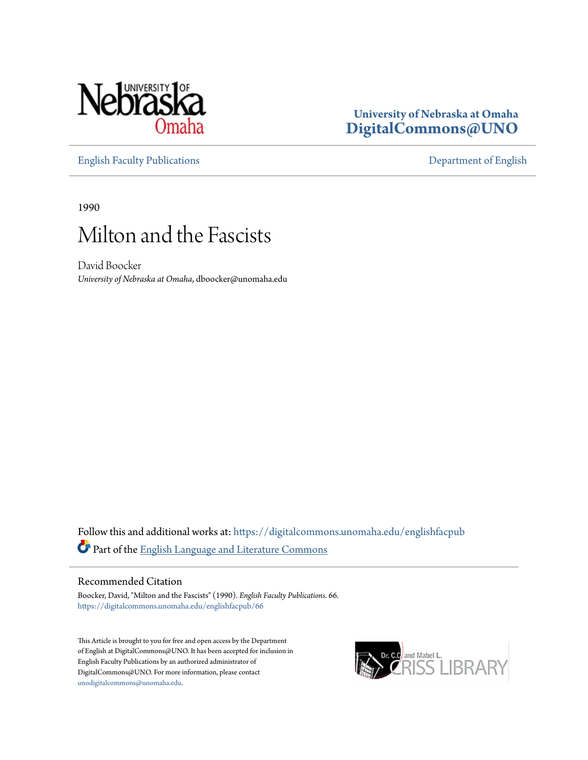

## **University of Nebraska at Omaha [DigitalCommons@UNO](https://digitalcommons.unomaha.edu?utm_source=digitalcommons.unomaha.edu%2Fenglishfacpub%2F66&utm_medium=PDF&utm_campaign=PDFCoverPages)**

[English Faculty Publications](https://digitalcommons.unomaha.edu/englishfacpub?utm_source=digitalcommons.unomaha.edu%2Fenglishfacpub%2F66&utm_medium=PDF&utm_campaign=PDFCoverPages) [Department of English](https://digitalcommons.unomaha.edu/english?utm_source=digitalcommons.unomaha.edu%2Fenglishfacpub%2F66&utm_medium=PDF&utm_campaign=PDFCoverPages)

1990

# Milton and the Fascists

David Boocker *University of Nebraska at Omaha*, dboocker@unomaha.edu

Follow this and additional works at: [https://digitalcommons.unomaha.edu/englishfacpub](https://digitalcommons.unomaha.edu/englishfacpub?utm_source=digitalcommons.unomaha.edu%2Fenglishfacpub%2F66&utm_medium=PDF&utm_campaign=PDFCoverPages) Part of the [English Language and Literature Commons](http://network.bepress.com/hgg/discipline/455?utm_source=digitalcommons.unomaha.edu%2Fenglishfacpub%2F66&utm_medium=PDF&utm_campaign=PDFCoverPages)

### Recommended Citation

Boocker, David, "Milton and the Fascists" (1990). *English Faculty Publications*. 66. [https://digitalcommons.unomaha.edu/englishfacpub/66](https://digitalcommons.unomaha.edu/englishfacpub/66?utm_source=digitalcommons.unomaha.edu%2Fenglishfacpub%2F66&utm_medium=PDF&utm_campaign=PDFCoverPages)

This Article is brought to you for free and open access by the Department of English at DigitalCommons@UNO. It has been accepted for inclusion in English Faculty Publications by an authorized administrator of DigitalCommons@UNO. For more information, please contact [unodigitalcommons@unomaha.edu](mailto:unodigitalcommons@unomaha.edu).

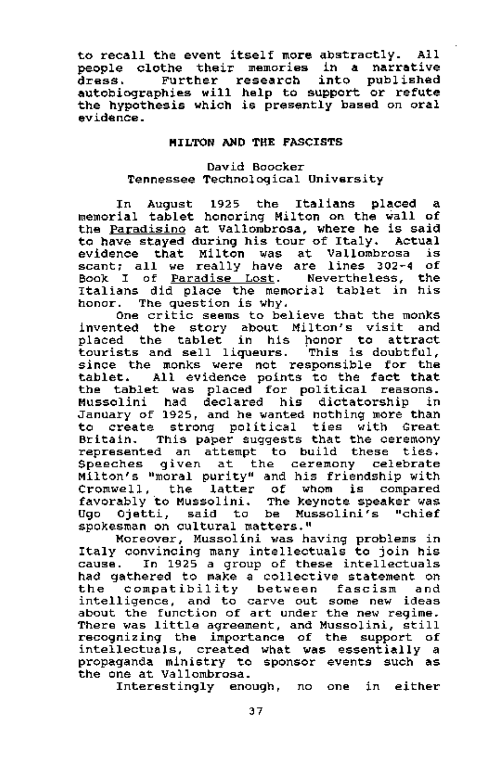to recall the event itself more abstractly. All people clothe their memories in a narrative dress. Further research into published autobiographies will help to support or refute the hypothesis which is presently based on oral evidence.

#### MILTON AND THE FASCISTS

#### David Boocker Tennessee Technological University

In August 1925 the Italians placed a memorial tablet honoring Milton on the wall of the Paradisino at Vallombrosa, where he is said to have stayed during his tour of Italy. Actual evidence that Milton was at Vallombrosa is scant; all we really have are lines 302-4 of Book I of Paradise Lost. Nevertheless, the Italians did place the memorial tablet in his honor. The question is why.

One critic seems to believe that the monks invented the story about Milton's visit and placed the tablet in his honor to attract tourists and sell liqueurs. This is doubtful, since the monks were not responsible for the tablet. All evidence points to the fact that the tablet was placed for political reasons. Mussolini had declared his dictatorship in January of 1925, and he wanted nothing more than to create strong political ties with Great Britain. This paper suggests that the ceremony represented an attempt to build these ties. Speeches given at the ceremony celebrate Milton's "moral purity" and his friendship with Cromwell, the latter of whom is compared favorably to Mussolini. The keynote speaker was Ugo Ojetti, said to be Mussolini's "chief spokesman on cultural matters."

Moreover, Mussolini was having problems in Italy convincing many intellectuals to join his cause. In 1925 a group of these intellectuals had gathered to make a collective statement on the compatibility between fascism and intelligence, and to carve out some new ideas about the function of art under the new regime. There was little agreement, and Mussolini, still recognizing the importance of the support of intellectuals, created what was essentially a propaganda ministry to sponsor events such as the one at Vallombrosa.

Interestingly enough, no one in either